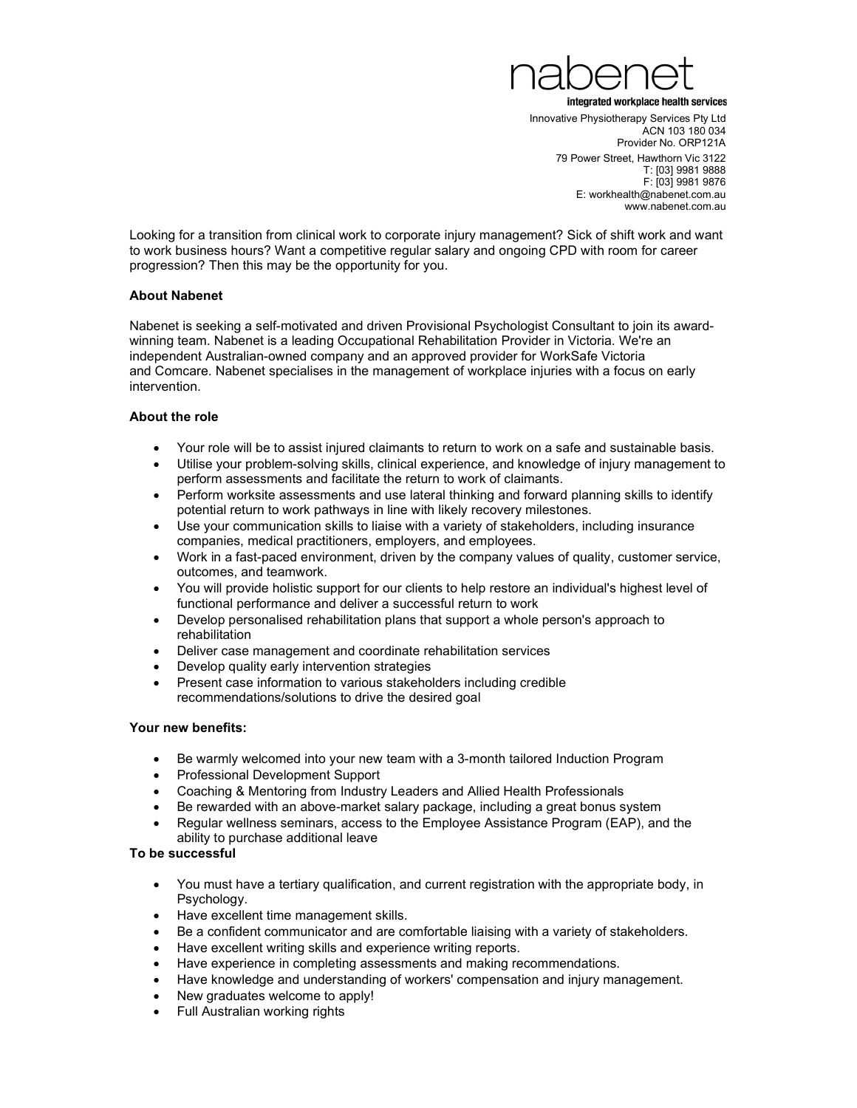

Innovative Physiotherapy Services Pty Ltd ACN 103 180 034 Provider No. ORP121A 79 Power Street, Hawthorn Vic 3122 T: [03] 9981 9888 F: [03] 9981 9876 E: workhealth@nabenet.com.au www.nabenet.com.au

Looking for a transition from clinical work to corporate injury management? Sick of shift work and want to work business hours? Want a competitive regular salary and ongoing CPD with room for career progression? Then this may be the opportunity for you.

# About Nabenet

Nabenet is seeking a self-motivated and driven Provisional Psychologist Consultant to join its awardwinning team. Nabenet is a leading Occupational Rehabilitation Provider in Victoria. We're an independent Australian-owned company and an approved provider for WorkSafe Victoria and Comcare. Nabenet specialises in the management of workplace injuries with a focus on early intervention.

# About the role

- Your role will be to assist injured claimants to return to work on a safe and sustainable basis.
- Utilise your problem-solving skills, clinical experience, and knowledge of injury management to perform assessments and facilitate the return to work of claimants.
- Perform worksite assessments and use lateral thinking and forward planning skills to identify potential return to work pathways in line with likely recovery milestones.
- Use your communication skills to liaise with a variety of stakeholders, including insurance companies, medical practitioners, employers, and employees.
- Work in a fast-paced environment, driven by the company values of quality, customer service, outcomes, and teamwork.
- You will provide holistic support for our clients to help restore an individual's highest level of functional performance and deliver a successful return to work
- Develop personalised rehabilitation plans that support a whole person's approach to rehabilitation
- Deliver case management and coordinate rehabilitation services
- Develop quality early intervention strategies
- Present case information to various stakeholders including credible recommendations/solutions to drive the desired goal

#### Your new benefits:

- Be warmly welcomed into your new team with a 3-month tailored Induction Program
- Professional Development Support
- Coaching & Mentoring from Industry Leaders and Allied Health Professionals
- Be rewarded with an above-market salary package, including a great bonus system
- Regular wellness seminars, access to the Employee Assistance Program (EAP), and the ability to purchase additional leave

# To be successful

- You must have a tertiary qualification, and current registration with the appropriate body, in Psychology.
- Have excellent time management skills.
- Be a confident communicator and are comfortable liaising with a variety of stakeholders.
- Have excellent writing skills and experience writing reports.
- Have experience in completing assessments and making recommendations.
- Have knowledge and understanding of workers' compensation and injury management.
- New graduates welcome to apply!
- Full Australian working rights